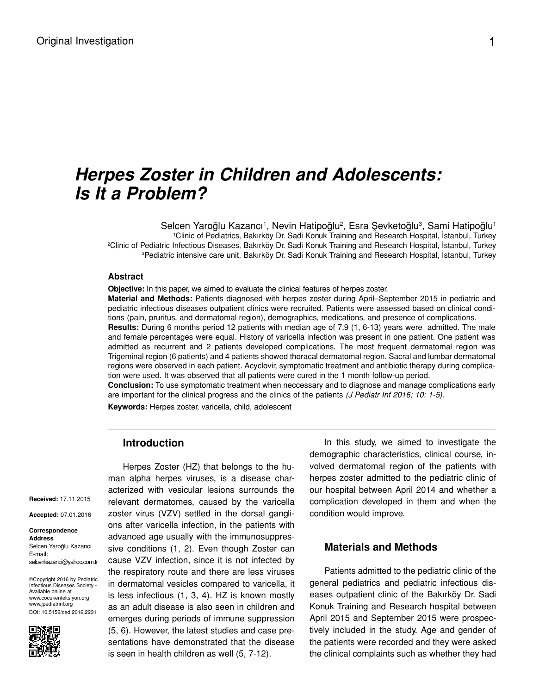# *Herpes Zoster in Children and Adolescents: Is It a Problem?*

Selcen Yaroğlu Kazancı<sup>1</sup>, Nevin Hatipoğlu<sup>2</sup>, Esra Şevketoğlu<sup>3</sup>, Sami Hatipoğlu<sup>1</sup> Clinic of Pediatrics, Bakırköy Dr. Sadi Konuk Training and Research Hospital, İstanbul, Turkey Clinic of Pediatric Infectious Diseases, Bakırköy Dr. Sadi Konuk Training and Research Hospital, İstanbul, Turkey Pediatric intensive care unit, Bakırköy Dr. Sadi Konuk Training and Research Hospital, İstanbul, Turkey

#### **Abstract**

**Objective:** In this paper, we aimed to evaluate the clinical features of herpes zoster.

**Material and Methods:** Patients diagnosed with herpes zoster during April–September 2015 in pediatric and pediatric infectious diseases outpatient clinics were recruited. Patients were assessed based on clinical conditions (pain, pruritus, and dermatomal region), demographics, medications, and presence of complications.

**Results:** During 6 months period 12 patients with median age of 7,9 (1, 6-13) years were admitted. The male and female percentages were equal. History of varicella infection was present in one patient. One patient was admitted as recurrent and 2 patients developed complications. The most frequent dermatomal region was Trigeminal region (6 patients) and 4 patients showed thoracal dermatomal region. Sacral and lumbar dermatomal regions were observed in each patient. Acyclovir, symptomatic treatment and antibiotic therapy during complication were used. It was observed that all patients were cured in the 1 month follow-up period.

**Conclusion:** To use symptomatic treatment when neccessary and to diagnose and manage complications early are important for the clinical progress and the clinics of the patients *(J Pediatr Inf 2016; 10: 1-5)*.

**Keywords:** Herpes zoster, varicella, child, adolescent

### **Introduction**

**Received:** 17.11.2015

**Accepted:** 07.01.2016

#### **Correspondence Address** Selcen Yaroğlu Kazancı E-mail: selcenkazanci@yahoo.com.tr

©Copyright 2016 by Pediatric Infectious Diseases Society - Available online at www.cocukenfeksiyon.org www.jpediatrinf.org DOI: 10.5152/ced.2016.2231



Herpes Zoster (HZ) that belongs to the human alpha herpes viruses, is a disease characterized with vesicular lesions surrounds the relevant dermatomes, caused by the varicella zoster virus (VZV) settled in the dorsal ganglions after varicella infection, in the patients with advanced age usually with the immunosuppressive conditions (1, 2). Even though Zoster can cause VZV infection, since it is not infected by the respiratory route and there are less viruses in dermatomal vesicles compared to varicella, it is less infectious (1, 3, 4). HZ is known mostly as an adult disease is also seen in children and emerges during periods of immune suppression (5, 6). However, the latest studies and case presentations have demonstrated that the disease is seen in health children as well (5, 7-12).

In this study, we aimed to investigate the demographic characteristics, clinical course, involved dermatomal region of the patients with herpes zoster admitted to the pediatric clinic of our hospital between April 2014 and whether a complication developed in them and when the condition would improve.

#### **Materials and Methods**

Patients admitted to the pediatric clinic of the general pediatrics and pediatric infectious diseases outpatient clinic of the Bakırköy Dr. Sadi Konuk Training and Research hospital between April 2015 and September 2015 were prospectively included in the study. Age and gender of the patients were recorded and they were asked the clinical complaints such as whether they had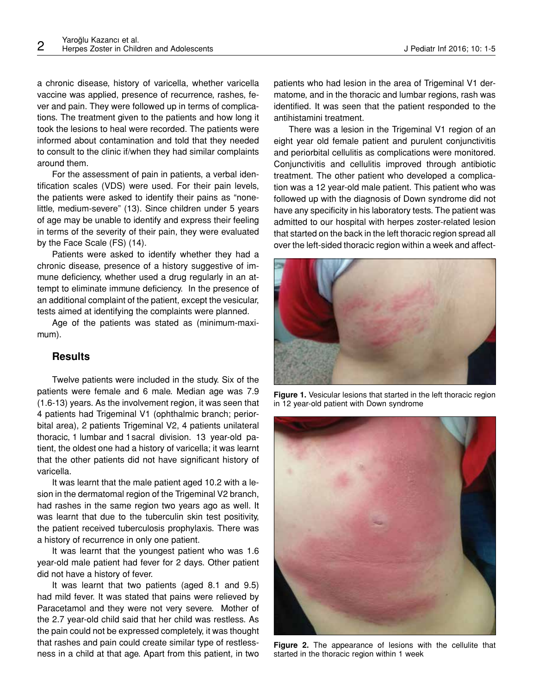a chronic disease, history of varicella, whether varicella vaccine was applied, presence of recurrence, rashes, fever and pain. They were followed up in terms of complications. The treatment given to the patients and how long it took the lesions to heal were recorded. The patients were informed about contamination and told that they needed to consult to the clinic if/when they had similar complaints around them.

For the assessment of pain in patients, a verbal identification scales (VDS) were used. For their pain levels, the patients were asked to identify their pains as "nonelittle, medium-severe" (13). Since children under 5 years of age may be unable to identify and express their feeling in terms of the severity of their pain, they were evaluated by the Face Scale (FS) (14).

Patients were asked to identify whether they had a chronic disease, presence of a history suggestive of immune deficiency, whether used a drug regularly in an attempt to eliminate immune deficiency. In the presence of an additional complaint of the patient, except the vesicular, tests aimed at identifying the complaints were planned.

Age of the patients was stated as (minimum-maximum).

# **Results**

Twelve patients were included in the study. Six of the patients were female and 6 male. Median age was 7.9 (1.6-13) years. As the involvement region, it was seen that 4 patients had Trigeminal V1 (ophthalmic branch; periorbital area), 2 patients Trigeminal V2, 4 patients unilateral thoracic, 1 lumbar and 1sacral division. 13 year-old patient, the oldest one had a history of varicella; it was learnt that the other patients did not have significant history of varicella.

It was learnt that the male patient aged 10.2 with a lesion in the dermatomal region of the Trigeminal V2 branch, had rashes in the same region two years ago as well. It was learnt that due to the tuberculin skin test positivity, the patient received tuberculosis prophylaxis. There was a history of recurrence in only one patient.

It was learnt that the youngest patient who was 1.6 year-old male patient had fever for 2 days. Other patient did not have a history of fever.

It was learnt that two patients (aged 8.1 and 9.5) had mild fever. It was stated that pains were relieved by Paracetamol and they were not very severe. Mother of the 2.7 year-old child said that her child was restless. As the pain could not be expressed completely, it was thought that rashes and pain could create similar type of restlessness in a child at that age. Apart from this patient, in two

patients who had lesion in the area of Trigeminal V1 dermatome, and in the thoracic and lumbar regions, rash was identified. It was seen that the patient responded to the antihistamini treatment.

There was a lesion in the Trigeminal V1 region of an eight year old female patient and purulent conjunctivitis and periorbital cellulitis as complications were monitored. Conjunctivitis and cellulitis improved through antibiotic treatment. The other patient who developed a complication was a 12 year-old male patient. This patient who was followed up with the diagnosis of Down syndrome did not have any specificity in his laboratory tests. The patient was admitted to our hospital with herpes zoster-related lesion that started on the back in the left thoracic region spread all over the left-sided thoracic region within a week and affect-



**Figure 1.** Vesicular lesions that started in the left thoracic region in 12 year-old patient with Down syndrome



**Figure 2.** The appearance of lesions with the cellulite that started in the thoracic region within 1 week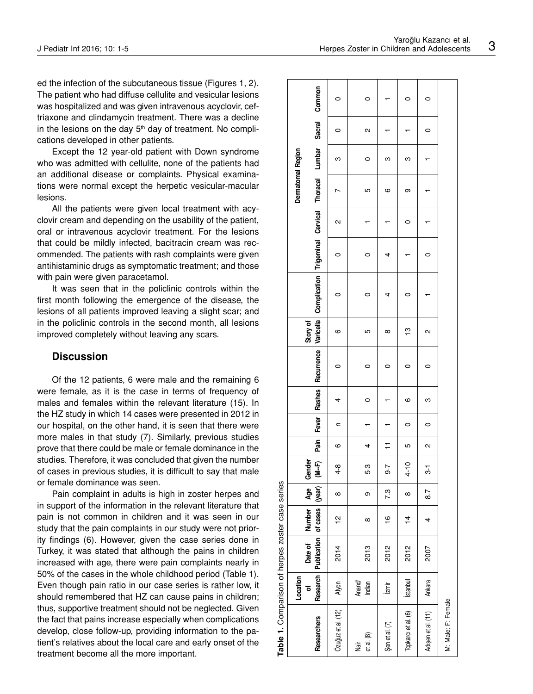ed the infection of the subcutaneous tissue (Figures 1, 2). The patient who had diffuse cellulite and vesicular lesions was hospitalized and was given intravenous acyclovir, ceftriaxone and clindamycin treatment. There was a decline in the lesions on the day  $5<sup>th</sup>$  day of treatment. No complications developed in other patients.

Except the 12 year-old patient with Down syndrome who was admitted with cellulite, none of the patients had an additional disease or complaints. Physical examinations were normal except the herpetic vesicular-macular lesions.

All the patients were given local treatment with acyclovir cream and depending on the usability of the patient, oral or intravenous acyclovir treatment. For the lesions that could be mildly infected, bacitracin cream was recommended. The patients with rash complaints were given antihistaminic drugs as symptomatic treatment; and those with pain were given paracetamol.

It was seen that in the policlinic controls within the first month following the emergence of the disease, the lesions of all patients improved leaving a slight scar; and in the policlinic controls in the second month, all lesions improved completely without leaving any scars.

#### **Discussion**

Of the 12 patients, 6 were male and the remaining 6 were female, as it is the case in terms of frequency of males and females within the relevant literature (15). In the HZ study in which 14 cases were presented in 2012 in our hospital, on the other hand, it is seen that there were more males in that study (7). Similarly, previous studies prove that there could be male or female dominance in the studies. Therefore, it was concluded that given the number of cases in previous studies, it is difficult to say that male or female dominance was seen.

Pain complaint in adults is high in zoster herpes and in support of the information in the relevant literature that pain is not common in children and it was seen in our study that the pain complaints in our study were not priority findings (6). However, given the case series done in Turkey, it was stated that although the pains in children increased with age, there were pain complaints nearly in 50% of the cases in the whole childhood period (Table 1). Even though pain ratio in our case series is rather low, it should remembered that HZ can cause pains in children; thus, supportive treatment should not be neglected. Given the fact that pains increase especially when complications develop, close follow-up, providing information to the patient's relatives about the local care and early onset of the treatment become all the more important.

| Table 1. Comparison of herpes zoster case series |                   |                                                    |               |                |                                       |                |         |         |   |          |                                                                                                  |   |         |                   |   |        |   |
|--------------------------------------------------|-------------------|----------------------------------------------------|---------------|----------------|---------------------------------------|----------------|---------|---------|---|----------|--------------------------------------------------------------------------------------------------|---|---------|-------------------|---|--------|---|
|                                                  | Location<br>đ     | Date of Number Age Gender                          |               |                |                                       |                |         |         |   | Story of |                                                                                                  |   |         | Dermatomal Region |   |        |   |
| <b>Researchers</b>                               |                   | Research   Publication   of cases   (year)   (M-F) |               |                |                                       | Pain           |         |         |   |          | Fever Rashes Recurrence Varicella Compilcation Trigeminal Cervical Thoracal Lumbar Sacral Common |   |         |                   |   |        |   |
| Özuğuz et al. (12)                               | Afyon             | 2014                                               | 으             | $^\infty$      | $4 - 8$                               | ဖ              | c       | 4       |   | ဖ        | 0                                                                                                |   | N       |                   | ო | 0      | 0 |
| et al. (8)<br>İair                               | Anand/<br>Indian  | 2013                                               | $\infty$      | თ              | 5-3                                   | 4              |         | $\circ$ | 0 | Ю        | 0                                                                                                | 0 |         | Ю                 | 0 | $\sim$ | 0 |
| Şen et al. (7)                                   | $\overline{\lim}$ | 2012                                               | $\frac{6}{1}$ | 7.3            | $-6 -$                                | $\overline{1}$ |         |         | 0 | $\infty$ |                                                                                                  | 4 |         | ဖ                 | ო |        |   |
| Topkarcı et al. (6)                              | <b>Istanbul</b>   | 2012                                               | $\frac{1}{4}$ | $\infty$       | $\overline{a}$<br>$\ddot{\textbf{4}}$ | Ю              | 0       | ဖ       |   | ဗ္       | o                                                                                                |   | $\circ$ | თ                 | ო |        | 0 |
| Adişen et al. (11)                               | Ankara            | 2007                                               | 4             | $\overline{8}$ | ო                                     | $\sim$         | $\circ$ | ო       | 0 | 2        |                                                                                                  | 0 |         |                   |   | 0      | 0 |
| M: Male; F: Female                               |                   |                                                    |               |                |                                       |                |         |         |   |          |                                                                                                  |   |         |                   |   |        |   |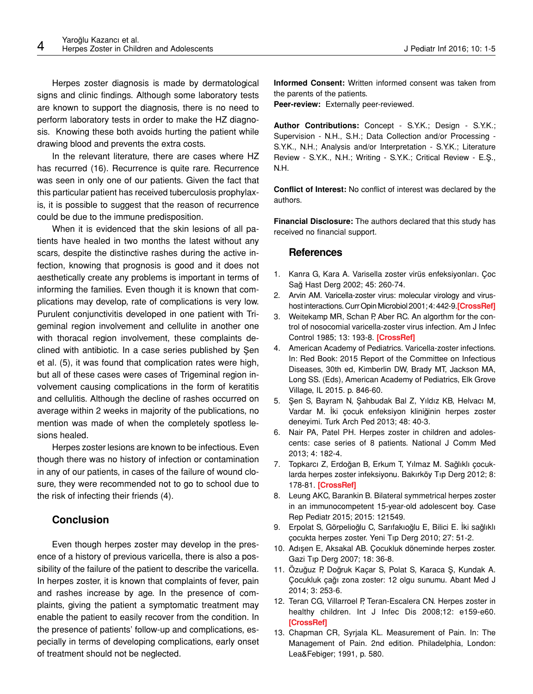Herpes zoster diagnosis is made by dermatological signs and clinic findings. Although some laboratory tests are known to support the diagnosis, there is no need to perform laboratory tests in order to make the HZ diagnosis. Knowing these both avoids hurting the patient while drawing blood and prevents the extra costs.

In the relevant literature, there are cases where HZ has recurred (16). Recurrence is quite rare. Recurrence was seen in only one of our patients. Given the fact that this particular patient has received tuberculosis prophylaxis, it is possible to suggest that the reason of recurrence could be due to the immune predisposition.

When it is evidenced that the skin lesions of all patients have healed in two months the latest without any scars, despite the distinctive rashes during the active infection, knowing that prognosis is good and it does not aesthetically create any problems is important in terms of informing the families. Even though it is known that complications may develop, rate of complications is very low. Purulent conjunctivitis developed in one patient with Trigeminal region involvement and cellulite in another one with thoracal region involvement, these complaints declined with antibiotic. In a case series published by Şen et al. (5), it was found that complication rates were high, but all of these cases were cases of Trigeminal region involvement causing complications in the form of keratitis and cellulitis. Although the decline of rashes occurred on average within 2 weeks in majority of the publications, no mention was made of when the completely spotless lesions healed.

Herpes zoster lesions are known to be infectious. Even though there was no history of infection or contamination in any of our patients, in cases of the failure of wound closure, they were recommended not to go to school due to the risk of infecting their friends (4).

## **Conclusion**

Even though herpes zoster may develop in the presence of a history of previous varicella, there is also a possibility of the failure of the patient to describe the varicella. In herpes zoster, it is known that complaints of fever, pain and rashes increase by age. In the presence of complaints, giving the patient a symptomatic treatment may enable the patient to easily recover from the condition. In the presence of patients' follow-up and complications, especially in terms of developing complications, early onset of treatment should not be neglected.

**Informed Consent:** Written informed consent was taken from the parents of the patients.

**Peer-review:** Externally peer-reviewed.

**Author Contributions:** Concept - S.Y.K.; Design - S.Y.K.; Supervision - N.H., S.H.; Data Collection and/or Processing - S.Y.K., N.H.; Analysis and/or Interpretation - S.Y.K.; Literature Review - S.Y.K., N.H.; Writing - S.Y.K.; Critical Review - E.Ş., N.H.

**Conflict of Interest:** No conflict of interest was declared by the authors.

**Financial Disclosure:** The authors declared that this study has received no financial support.

### **References**

- 1. Kanra G, Kara A. Varisella zoster virüs enfeksiyonları. Çoc Sağ Hast Derg 2002; 45: 260-74.
- 2. Arvin AM. Varicella-zoster virus: molecular virology and virushost interactions. Curr Opin Microbiol 2001; 4: 442-9.**[\[CrossRef\]](http://dx.doi.org/10.1016/S1369-5274(00)00233-2)**
- 3. Weitekamp MR, Schan P, Aber RC. An algorthm for the control of nosocomial varicella-zoster virus infection. Am J Infec Control 1985; 13: 193-8. **[\[CrossRef\]](http://dx.doi.org/10.1016/0196-6553(85)90057-4)**
- 4. American Academy of Pediatrics. Varicella-zoster infections. In: Red Book: 2015 Report of the Committee on Infectious Diseases, 30th ed, Kimberlin DW, Brady MT, Jackson MA, Long SS. (Eds), American Academy of Pediatrics, Elk Grove Village, IL 2015. p. 846-60.
- 5. Şen S, Bayram N, Şahbudak Bal Z, Yıldız KB, Helvacı M, Vardar M. İki çocuk enfeksiyon kliniğinin herpes zoster deneyimi. Turk Arch Ped 2013; 48: 40-3.
- 6. Nair PA, Patel PH. Herpes zoster in children and adolescents: case series of 8 patients. National J Comm Med 2013; 4: 182-4.
- 7. Topkarcı Z, Erdoğan B, Erkum T, Yılmaz M. Sağlıklı çocuklarda herpes zoster infeksiyonu. Bakırköy Tıp Derg 2012; 8: 178-81. **[\[CrossRef\]](http://dx.doi.org/10.5350/btdmjb201208405)**
- 8. Leung AKC, Barankin B. Bilateral symmetrical herpes zoster in an immunocompetent 15-year-old adolescent boy. Case Rep Pediatr 2015; 2015: 121549.
- 9. Erpolat S, Görpelioğlu C, Sarıfakıoğlu E, Bilici E. İki sağlıklı çocukta herpes zoster. Yeni Tıp Derg 2010; 27: 51-2.
- 10. Adışen E, Aksakal AB. Çocukluk döneminde herpes zoster. Gazi Tıp Derg 2007; 18: 36-8.
- 11. Özuğuz P, Doğruk Kaçar S, Polat S, Karaca Ş, Kundak A. Çocukluk çağı zona zoster: 12 olgu sunumu. Abant Med J 2014; 3: 253-6.
- 12. Teran CG, Villarroel P, Teran-Escalera CN. Herpes zoster in healthy children. Int J Infec Dis 2008;12: e159-e60. **[\[CrossRef\]](http://dx.doi.org/10.1016/j.ijid.2008.03.016)**
- 13. Chapman CR, Syrjala KL. Measurement of Pain. In: The Management of Pain. 2nd edition. Philadelphia, London: Lea&Febiger; 1991, p. 580.